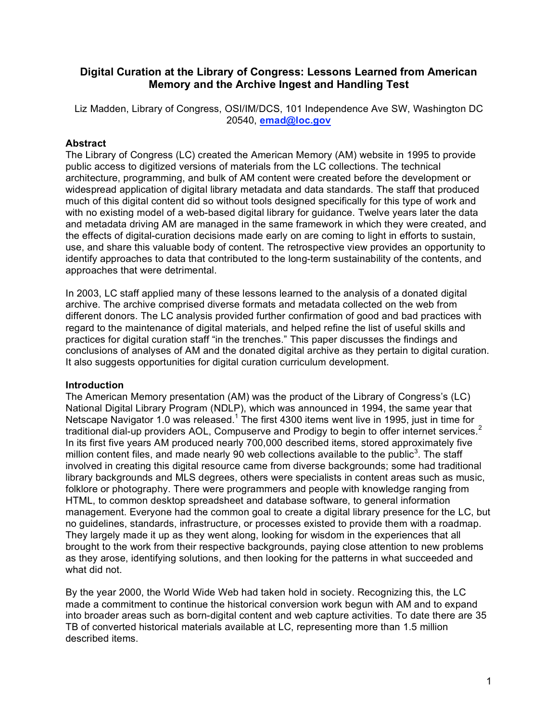# **Digital Curation at the Library of Congress: Lessons Learned from American Memory and the Archive Ingest and Handling Test**

Liz Madden, Library of Congress, OSI/IM/DCS, 101 Independence Ave SW, Washington DC 20540, **emad@loc.gov**

## **Abstract**

The Library of Congress (LC) created the American Memory (AM) website in 1995 to provide public access to digitized versions of materials from the LC collections. The technical architecture, programming, and bulk of AM content were created before the development or widespread application of digital library metadata and data standards. The staff that produced much of this digital content did so without tools designed specifically for this type of work and with no existing model of a web-based digital library for guidance. Twelve years later the data and metadata driving AM are managed in the same framework in which they were created, and the effects of digital-curation decisions made early on are coming to light in efforts to sustain, use, and share this valuable body of content. The retrospective view provides an opportunity to identify approaches to data that contributed to the long-term sustainability of the contents, and approaches that were detrimental.

In 2003, LC staff applied many of these lessons learned to the analysis of a donated digital archive. The archive comprised diverse formats and metadata collected on the web from different donors. The LC analysis provided further confirmation of good and bad practices with regard to the maintenance of digital materials, and helped refine the list of useful skills and practices for digital curation staff "in the trenches." This paper discusses the findings and conclusions of analyses of AM and the donated digital archive as they pertain to digital curation. It also suggests opportunities for digital curation curriculum development.

## **Introduction**

The American Memory presentation (AM) was the product of the Library of Congress's (LC) National Digital Library Program (NDLP), which was announced in 1994, the same year that Netscape Navigator 1.0 was released.<sup>1</sup> The first 4300 items went live in 1995, just in time for traditional dial-up providers AOL, Compuserve and Prodigy to begin to offer internet services.<sup>2</sup> In its first five years AM produced nearly 700,000 described items, stored approximately five million content files, and made nearly 90 web collections available to the public<sup>3</sup>. The staff involved in creating this digital resource came from diverse backgrounds; some had traditional library backgrounds and MLS degrees, others were specialists in content areas such as music, folklore or photography. There were programmers and people with knowledge ranging from HTML, to common desktop spreadsheet and database software, to general information management. Everyone had the common goal to create a digital library presence for the LC, but no guidelines, standards, infrastructure, or processes existed to provide them with a roadmap. They largely made it up as they went along, looking for wisdom in the experiences that all brought to the work from their respective backgrounds, paying close attention to new problems as they arose, identifying solutions, and then looking for the patterns in what succeeded and what did not.

By the year 2000, the World Wide Web had taken hold in society. Recognizing this, the LC made a commitment to continue the historical conversion work begun with AM and to expand into broader areas such as born-digital content and web capture activities. To date there are 35 TB of converted historical materials available at LC, representing more than 1.5 million described items.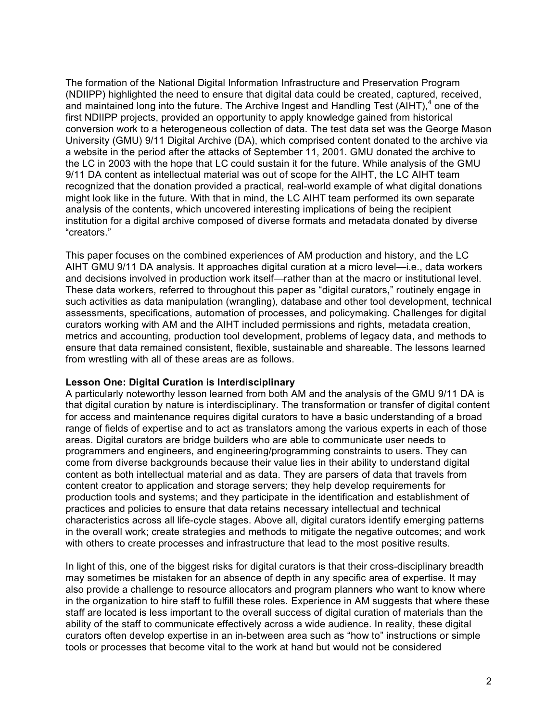The formation of the National Digital Information Infrastructure and Preservation Program (NDIIPP) highlighted the need to ensure that digital data could be created, captured, received, and maintained long into the future. The Archive Ingest and Handling Test (AIHT), $4$  one of the first NDIIPP projects, provided an opportunity to apply knowledge gained from historical conversion work to a heterogeneous collection of data. The test data set was the George Mason University (GMU) 9/11 Digital Archive (DA), which comprised content donated to the archive via a website in the period after the attacks of September 11, 2001. GMU donated the archive to the LC in 2003 with the hope that LC could sustain it for the future. While analysis of the GMU 9/11 DA content as intellectual material was out of scope for the AIHT, the LC AIHT team recognized that the donation provided a practical, real-world example of what digital donations might look like in the future. With that in mind, the LC AIHT team performed its own separate analysis of the contents, which uncovered interesting implications of being the recipient institution for a digital archive composed of diverse formats and metadata donated by diverse "creators."

This paper focuses on the combined experiences of AM production and history, and the LC AIHT GMU 9/11 DA analysis. It approaches digital curation at a micro level—i.e., data workers and decisions involved in production work itself—rather than at the macro or institutional level. These data workers, referred to throughout this paper as "digital curators," routinely engage in such activities as data manipulation (wrangling), database and other tool development, technical assessments, specifications, automation of processes, and policymaking. Challenges for digital curators working with AM and the AIHT included permissions and rights, metadata creation, metrics and accounting, production tool development, problems of legacy data, and methods to ensure that data remained consistent, flexible, sustainable and shareable. The lessons learned from wrestling with all of these areas are as follows.

#### **Lesson One: Digital Curation is Interdisciplinary**

A particularly noteworthy lesson learned from both AM and the analysis of the GMU 9/11 DA is that digital curation by nature is interdisciplinary. The transformation or transfer of digital content for access and maintenance requires digital curators to have a basic understanding of a broad range of fields of expertise and to act as translators among the various experts in each of those areas. Digital curators are bridge builders who are able to communicate user needs to programmers and engineers, and engineering/programming constraints to users. They can come from diverse backgrounds because their value lies in their ability to understand digital content as both intellectual material and as data. They are parsers of data that travels from content creator to application and storage servers; they help develop requirements for production tools and systems; and they participate in the identification and establishment of practices and policies to ensure that data retains necessary intellectual and technical characteristics across all life-cycle stages. Above all, digital curators identify emerging patterns in the overall work; create strategies and methods to mitigate the negative outcomes; and work with others to create processes and infrastructure that lead to the most positive results.

In light of this, one of the biggest risks for digital curators is that their cross-disciplinary breadth may sometimes be mistaken for an absence of depth in any specific area of expertise. It may also provide a challenge to resource allocators and program planners who want to know where in the organization to hire staff to fulfill these roles. Experience in AM suggests that where these staff are located is less important to the overall success of digital curation of materials than the ability of the staff to communicate effectively across a wide audience. In reality, these digital curators often develop expertise in an in-between area such as "how to" instructions or simple tools or processes that become vital to the work at hand but would not be considered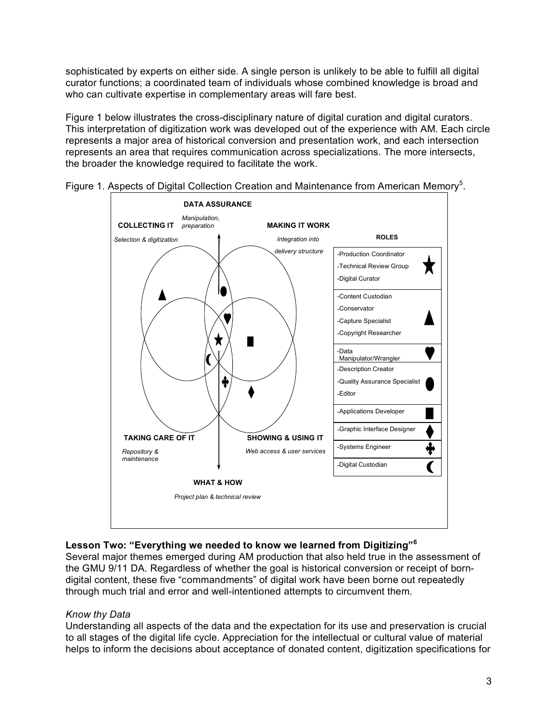sophisticated by experts on either side. A single person is unlikely to be able to fulfill all digital curator functions; a coordinated team of individuals whose combined knowledge is broad and who can cultivate expertise in complementary areas will fare best.

Figure 1 below illustrates the cross-disciplinary nature of digital curation and digital curators. This interpretation of digitization work was developed out of the experience with AM. Each circle represents a major area of historical conversion and presentation work, and each intersection represents an area that requires communication across specializations. The more intersects, the broader the knowledge required to facilitate the work.





# **Lesson Two: "Everything we needed to know we learned from Digitizing"<sup>6</sup>**

Several major themes emerged during AM production that also held true in the assessment of the GMU 9/11 DA. Regardless of whether the goal is historical conversion or receipt of borndigital content, these five "commandments" of digital work have been borne out repeatedly through much trial and error and well-intentioned attempts to circumvent them.

## *Know thy Data*

Understanding all aspects of the data and the expectation for its use and preservation is crucial to all stages of the digital life cycle. Appreciation for the intellectual or cultural value of material helps to inform the decisions about acceptance of donated content, digitization specifications for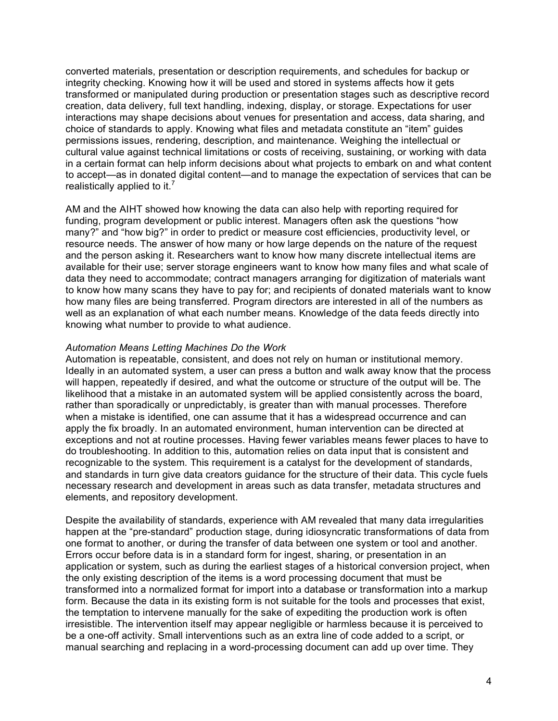converted materials, presentation or description requirements, and schedules for backup or integrity checking. Knowing how it will be used and stored in systems affects how it gets transformed or manipulated during production or presentation stages such as descriptive record creation, data delivery, full text handling, indexing, display, or storage. Expectations for user interactions may shape decisions about venues for presentation and access, data sharing, and choice of standards to apply. Knowing what files and metadata constitute an "item" guides permissions issues, rendering, description, and maintenance. Weighing the intellectual or cultural value against technical limitations or costs of receiving, sustaining, or working with data in a certain format can help inform decisions about what projects to embark on and what content to accept—as in donated digital content—and to manage the expectation of services that can be realistically applied to it.<sup>7</sup>

AM and the AIHT showed how knowing the data can also help with reporting required for funding, program development or public interest. Managers often ask the questions "how many?" and "how big?" in order to predict or measure cost efficiencies, productivity level, or resource needs. The answer of how many or how large depends on the nature of the request and the person asking it. Researchers want to know how many discrete intellectual items are available for their use; server storage engineers want to know how many files and what scale of data they need to accommodate; contract managers arranging for digitization of materials want to know how many scans they have to pay for; and recipients of donated materials want to know how many files are being transferred. Program directors are interested in all of the numbers as well as an explanation of what each number means. Knowledge of the data feeds directly into knowing what number to provide to what audience.

#### *Automation Means Letting Machines Do the Work*

Automation is repeatable, consistent, and does not rely on human or institutional memory. Ideally in an automated system, a user can press a button and walk away know that the process will happen, repeatedly if desired, and what the outcome or structure of the output will be. The likelihood that a mistake in an automated system will be applied consistently across the board, rather than sporadically or unpredictably, is greater than with manual processes. Therefore when a mistake is identified, one can assume that it has a widespread occurrence and can apply the fix broadly. In an automated environment, human intervention can be directed at exceptions and not at routine processes. Having fewer variables means fewer places to have to do troubleshooting. In addition to this, automation relies on data input that is consistent and recognizable to the system. This requirement is a catalyst for the development of standards, and standards in turn give data creators guidance for the structure of their data. This cycle fuels necessary research and development in areas such as data transfer, metadata structures and elements, and repository development.

Despite the availability of standards, experience with AM revealed that many data irregularities happen at the "pre-standard" production stage, during idiosyncratic transformations of data from one format to another, or during the transfer of data between one system or tool and another. Errors occur before data is in a standard form for ingest, sharing, or presentation in an application or system, such as during the earliest stages of a historical conversion project, when the only existing description of the items is a word processing document that must be transformed into a normalized format for import into a database or transformation into a markup form. Because the data in its existing form is not suitable for the tools and processes that exist, the temptation to intervene manually for the sake of expediting the production work is often irresistible. The intervention itself may appear negligible or harmless because it is perceived to be a one-off activity. Small interventions such as an extra line of code added to a script, or manual searching and replacing in a word-processing document can add up over time. They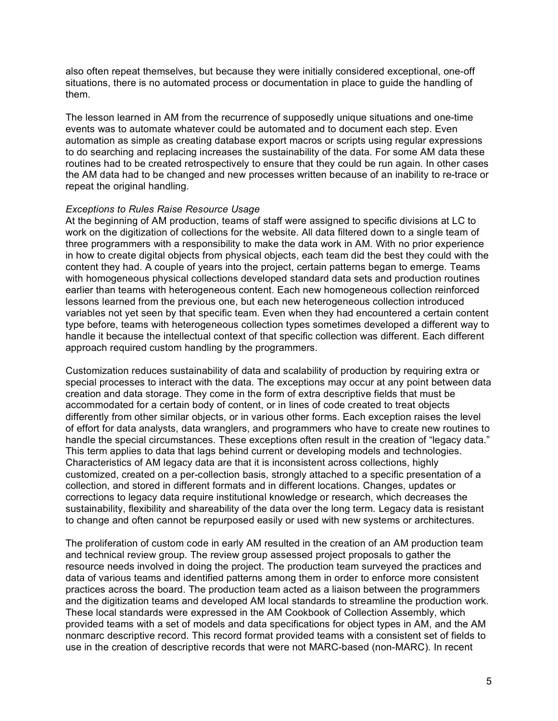also often repeat themselves, but because they were initially considered exceptional, one-off situations, there is no automated process or documentation in place to guide the handling of them.

The lesson learned in AM from the recurrence of supposedly unique situations and one-time events was to automate whatever could be automated and to document each step. Even automation as simple as creating database export macros or scripts using regular expressions to do searching and replacing increases the sustainability of the data. For some AM data these routines had to be created retrospectively to ensure that they could be run again. In other cases the AM data had to be changed and new processes written because of an inability to re-trace or repeat the original handling.

#### *Exceptions to Rules Raise Resource Usage*

At the beginning of AM production, teams of staff were assigned to specific divisions at LC to work on the digitization of collections for the website. All data filtered down to a single team of three programmers with a responsibility to make the data work in AM. With no prior experience in how to create digital objects from physical objects, each team did the best they could with the content they had. A couple of years into the project, certain patterns began to emerge. Teams with homogeneous physical collections developed standard data sets and production routines earlier than teams with heterogeneous content. Each new homogeneous collection reinforced lessons learned from the previous one, but each new heterogeneous collection introduced variables not yet seen by that specific team. Even when they had encountered a certain content type before, teams with heterogeneous collection types sometimes developed a different way to handle it because the intellectual context of that specific collection was different. Each different approach required custom handling by the programmers.

Customization reduces sustainability of data and scalability of production by requiring extra or special processes to interact with the data. The exceptions may occur at any point between data creation and data storage. They come in the form of extra descriptive fields that must be accommodated for a certain body of content, or in lines of code created to treat objects differently from other similar objects, or in various other forms. Each exception raises the level of effort for data analysts, data wranglers, and programmers who have to create new routines to handle the special circumstances. These exceptions often result in the creation of "legacy data." This term applies to data that lags behind current or developing models and technologies. Characteristics of AM legacy data are that it is inconsistent across collections, highly customized, created on a per-collection basis, strongly attached to a specific presentation of a collection, and stored in different formats and in different locations. Changes, updates or corrections to legacy data require institutional knowledge or research, which decreases the sustainability, flexibility and shareability of the data over the long term. Legacy data is resistant to change and often cannot be repurposed easily or used with new systems or architectures.

The proliferation of custom code in early AM resulted in the creation of an AM production team and technical review group. The review group assessed project proposals to gather the resource needs involved in doing the project. The production team surveyed the practices and data of various teams and identified patterns among them in order to enforce more consistent practices across the board. The production team acted as a liaison between the programmers and the digitization teams and developed AM local standards to streamline the production work. These local standards were expressed in the AM Cookbook of Collection Assembly, which provided teams with a set of models and data specifications for object types in AM, and the AM nonmarc descriptive record. This record format provided teams with a consistent set of fields to use in the creation of descriptive records that were not MARC-based (non-MARC). In recent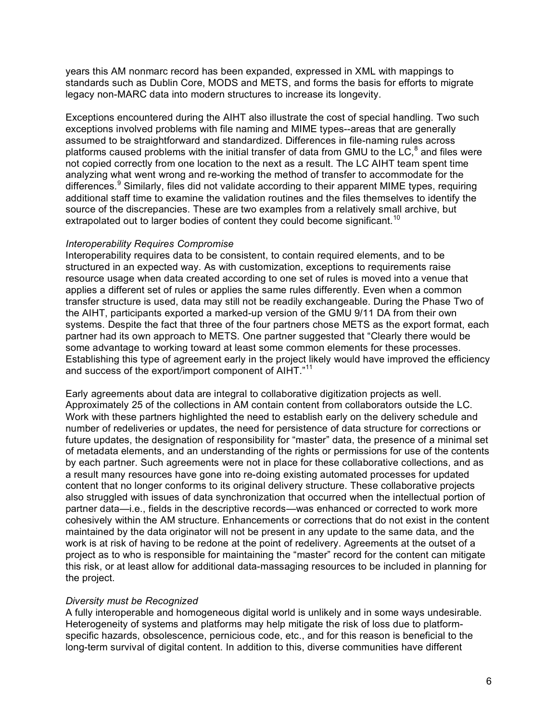years this AM nonmarc record has been expanded, expressed in XML with mappings to standards such as Dublin Core, MODS and METS, and forms the basis for efforts to migrate legacy non-MARC data into modern structures to increase its longevity.

Exceptions encountered during the AIHT also illustrate the cost of special handling. Two such exceptions involved problems with file naming and MIME types--areas that are generally assumed to be straightforward and standardized. Differences in file-naming rules across platforms caused problems with the initial transfer of data from GMU to the LC, $^8$  and files were not copied correctly from one location to the next as a result. The LC AIHT team spent time analyzing what went wrong and re-working the method of transfer to accommodate for the differences.<sup>9</sup> Similarly, files did not validate according to their apparent MIME types, requiring additional staff time to examine the validation routines and the files themselves to identify the source of the discrepancies. These are two examples from a relatively small archive, but extrapolated out to larger bodies of content they could become significant.<sup>10</sup>

### *Interoperability Requires Compromise*

Interoperability requires data to be consistent, to contain required elements, and to be structured in an expected way. As with customization, exceptions to requirements raise resource usage when data created according to one set of rules is moved into a venue that applies a different set of rules or applies the same rules differently. Even when a common transfer structure is used, data may still not be readily exchangeable. During the Phase Two of the AIHT, participants exported a marked-up version of the GMU 9/11 DA from their own systems. Despite the fact that three of the four partners chose METS as the export format, each partner had its own approach to METS. One partner suggested that "Clearly there would be some advantage to working toward at least some common elements for these processes. Establishing this type of agreement early in the project likely would have improved the efficiency and success of the export/import component of AIHT."<sup>11</sup>

Early agreements about data are integral to collaborative digitization projects as well. Approximately 25 of the collections in AM contain content from collaborators outside the LC. Work with these partners highlighted the need to establish early on the delivery schedule and number of redeliveries or updates, the need for persistence of data structure for corrections or future updates, the designation of responsibility for "master" data, the presence of a minimal set of metadata elements, and an understanding of the rights or permissions for use of the contents by each partner. Such agreements were not in place for these collaborative collections, and as a result many resources have gone into re-doing existing automated processes for updated content that no longer conforms to its original delivery structure. These collaborative projects also struggled with issues of data synchronization that occurred when the intellectual portion of partner data—i.e., fields in the descriptive records—was enhanced or corrected to work more cohesively within the AM structure. Enhancements or corrections that do not exist in the content maintained by the data originator will not be present in any update to the same data, and the work is at risk of having to be redone at the point of redelivery. Agreements at the outset of a project as to who is responsible for maintaining the "master" record for the content can mitigate this risk, or at least allow for additional data-massaging resources to be included in planning for the project.

## *Diversity must be Recognized*

A fully interoperable and homogeneous digital world is unlikely and in some ways undesirable. Heterogeneity of systems and platforms may help mitigate the risk of loss due to platformspecific hazards, obsolescence, pernicious code, etc., and for this reason is beneficial to the long-term survival of digital content. In addition to this, diverse communities have different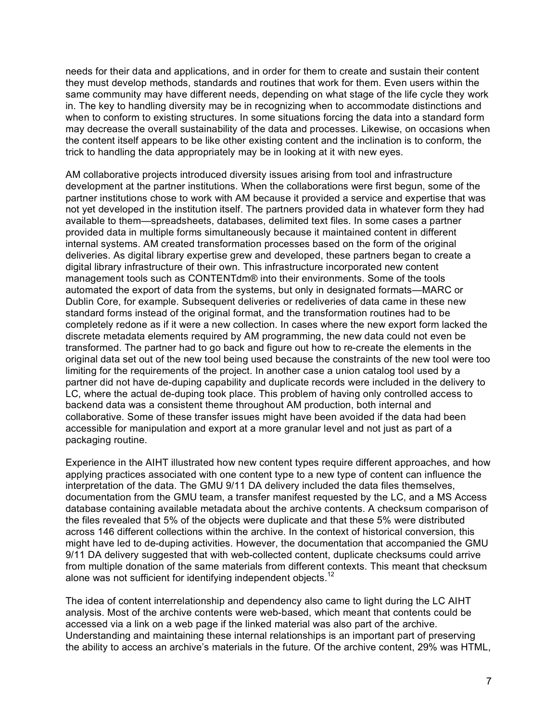needs for their data and applications, and in order for them to create and sustain their content they must develop methods, standards and routines that work for them. Even users within the same community may have different needs, depending on what stage of the life cycle they work in. The key to handling diversity may be in recognizing when to accommodate distinctions and when to conform to existing structures. In some situations forcing the data into a standard form may decrease the overall sustainability of the data and processes. Likewise, on occasions when the content itself appears to be like other existing content and the inclination is to conform, the trick to handling the data appropriately may be in looking at it with new eyes.

AM collaborative projects introduced diversity issues arising from tool and infrastructure development at the partner institutions. When the collaborations were first begun, some of the partner institutions chose to work with AM because it provided a service and expertise that was not yet developed in the institution itself. The partners provided data in whatever form they had available to them—spreadsheets, databases, delimited text files. In some cases a partner provided data in multiple forms simultaneously because it maintained content in different internal systems. AM created transformation processes based on the form of the original deliveries. As digital library expertise grew and developed, these partners began to create a digital library infrastructure of their own. This infrastructure incorporated new content management tools such as CONTENTdm® into their environments. Some of the tools automated the export of data from the systems, but only in designated formats—MARC or Dublin Core, for example. Subsequent deliveries or redeliveries of data came in these new standard forms instead of the original format, and the transformation routines had to be completely redone as if it were a new collection. In cases where the new export form lacked the discrete metadata elements required by AM programming, the new data could not even be transformed. The partner had to go back and figure out how to re-create the elements in the original data set out of the new tool being used because the constraints of the new tool were too limiting for the requirements of the project. In another case a union catalog tool used by a partner did not have de-duping capability and duplicate records were included in the delivery to LC, where the actual de-duping took place. This problem of having only controlled access to backend data was a consistent theme throughout AM production, both internal and collaborative. Some of these transfer issues might have been avoided if the data had been accessible for manipulation and export at a more granular level and not just as part of a packaging routine.

Experience in the AIHT illustrated how new content types require different approaches, and how applying practices associated with one content type to a new type of content can influence the interpretation of the data. The GMU 9/11 DA delivery included the data files themselves, documentation from the GMU team, a transfer manifest requested by the LC, and a MS Access database containing available metadata about the archive contents. A checksum comparison of the files revealed that 5% of the objects were duplicate and that these 5% were distributed across 146 different collections within the archive. In the context of historical conversion, this might have led to de-duping activities. However, the documentation that accompanied the GMU 9/11 DA delivery suggested that with web-collected content, duplicate checksums could arrive from multiple donation of the same materials from different contexts. This meant that checksum alone was not sufficient for identifying independent objects.<sup>12</sup>

The idea of content interrelationship and dependency also came to light during the LC AIHT analysis. Most of the archive contents were web-based, which meant that contents could be accessed via a link on a web page if the linked material was also part of the archive. Understanding and maintaining these internal relationships is an important part of preserving the ability to access an archive's materials in the future. Of the archive content, 29% was HTML,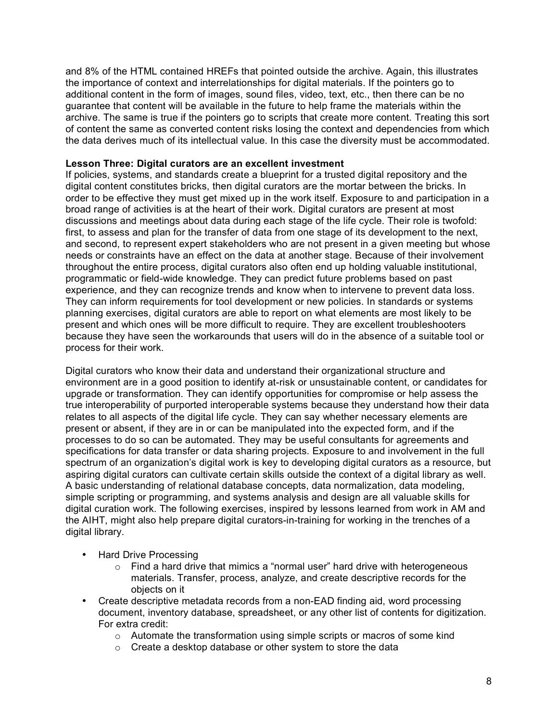and 8% of the HTML contained HREFs that pointed outside the archive. Again, this illustrates the importance of context and interrelationships for digital materials. If the pointers go to additional content in the form of images, sound files, video, text, etc., then there can be no guarantee that content will be available in the future to help frame the materials within the archive. The same is true if the pointers go to scripts that create more content. Treating this sort of content the same as converted content risks losing the context and dependencies from which the data derives much of its intellectual value. In this case the diversity must be accommodated.

### **Lesson Three: Digital curators are an excellent investment**

If policies, systems, and standards create a blueprint for a trusted digital repository and the digital content constitutes bricks, then digital curators are the mortar between the bricks. In order to be effective they must get mixed up in the work itself. Exposure to and participation in a broad range of activities is at the heart of their work. Digital curators are present at most discussions and meetings about data during each stage of the life cycle. Their role is twofold: first, to assess and plan for the transfer of data from one stage of its development to the next, and second, to represent expert stakeholders who are not present in a given meeting but whose needs or constraints have an effect on the data at another stage. Because of their involvement throughout the entire process, digital curators also often end up holding valuable institutional, programmatic or field-wide knowledge. They can predict future problems based on past experience, and they can recognize trends and know when to intervene to prevent data loss. They can inform requirements for tool development or new policies. In standards or systems planning exercises, digital curators are able to report on what elements are most likely to be present and which ones will be more difficult to require. They are excellent troubleshooters because they have seen the workarounds that users will do in the absence of a suitable tool or process for their work.

Digital curators who know their data and understand their organizational structure and environment are in a good position to identify at-risk or unsustainable content, or candidates for upgrade or transformation. They can identify opportunities for compromise or help assess the true interoperability of purported interoperable systems because they understand how their data relates to all aspects of the digital life cycle. They can say whether necessary elements are present or absent, if they are in or can be manipulated into the expected form, and if the processes to do so can be automated. They may be useful consultants for agreements and specifications for data transfer or data sharing projects. Exposure to and involvement in the full spectrum of an organization's digital work is key to developing digital curators as a resource, but aspiring digital curators can cultivate certain skills outside the context of a digital library as well. A basic understanding of relational database concepts, data normalization, data modeling, simple scripting or programming, and systems analysis and design are all valuable skills for digital curation work. The following exercises, inspired by lessons learned from work in AM and the AIHT, might also help prepare digital curators-in-training for working in the trenches of a digital library.

- Hard Drive Processing
	- $\circ$  Find a hard drive that mimics a "normal user" hard drive with heterogeneous materials. Transfer, process, analyze, and create descriptive records for the objects on it
- Create descriptive metadata records from a non-EAD finding aid, word processing document, inventory database, spreadsheet, or any other list of contents for digitization. For extra credit:
	- o Automate the transformation using simple scripts or macros of some kind
	- $\circ$  Create a desktop database or other system to store the data